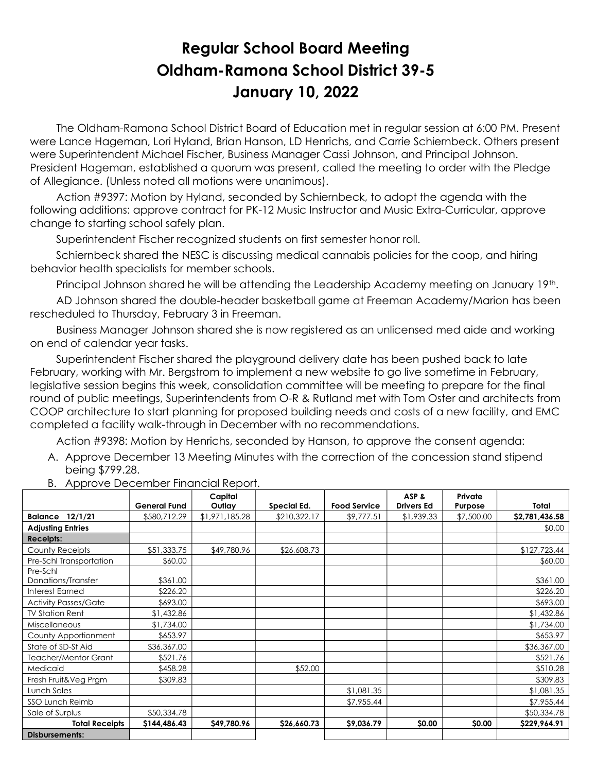## Regular School Board Meeting Oldham-Ramona School District 39-5 January 10, 2022

 The Oldham-Ramona School District Board of Education met in regular session at 6:00 PM. Present were Lance Hageman, Lori Hyland, Brian Hanson, LD Henrichs, and Carrie Schiernbeck. Others present were Superintendent Michael Fischer, Business Manager Cassi Johnson, and Principal Johnson. President Hageman, established a quorum was present, called the meeting to order with the Pledge of Allegiance. (Unless noted all motions were unanimous).

 Action #9397: Motion by Hyland, seconded by Schiernbeck, to adopt the agenda with the following additions: approve contract for PK-12 Music Instructor and Music Extra-Curricular, approve change to starting school safely plan.

Superintendent Fischer recognized students on first semester honor roll.

 Schiernbeck shared the NESC is discussing medical cannabis policies for the coop, and hiring behavior health specialists for member schools.

Principal Johnson shared he will be attending the Leadership Academy meeting on January 19<sup>th</sup>.

 AD Johnson shared the double-header basketball game at Freeman Academy/Marion has been rescheduled to Thursday, February 3 in Freeman.

 Business Manager Johnson shared she is now registered as an unlicensed med aide and working on end of calendar year tasks.

 Superintendent Fischer shared the playground delivery date has been pushed back to late February, working with Mr. Bergstrom to implement a new website to go live sometime in February, legislative session begins this week, consolidation committee will be meeting to prepare for the final round of public meetings, Superintendents from O-R & Rutland met with Tom Oster and architects from COOP architecture to start planning for proposed building needs and costs of a new facility, and EMC completed a facility walk-through in December with no recommendations.

Action #9398: Motion by Henrichs, seconded by Hanson, to approve the consent agenda:

A. Approve December 13 Meeting Minutes with the correction of the concession stand stipend being \$799.28.

|                             |                     | Capital        |              |                     | ASP &             | Private    |                |
|-----------------------------|---------------------|----------------|--------------|---------------------|-------------------|------------|----------------|
|                             | <b>General Fund</b> | Outlay         | Special Ed.  | <b>Food Service</b> | <b>Drivers Ed</b> | Purpose    | Total          |
| 12/1/21<br><b>Balance</b>   | \$580,712.29        | \$1,971,185.28 | \$210,322.17 | \$9,777.51          | \$1,939.33        | \$7,500.00 | \$2,781,436.58 |
| <b>Adjusting Entries</b>    |                     |                |              |                     |                   |            | \$0.00         |
| <b>Receipts:</b>            |                     |                |              |                     |                   |            |                |
| County Receipts             | \$51,333.75         | \$49,780.96    | \$26,608.73  |                     |                   |            | \$127,723.44   |
| Pre-Schl Transportation     | \$60.00             |                |              |                     |                   |            | \$60.00        |
| Pre-Schl                    |                     |                |              |                     |                   |            |                |
| Donations/Transfer          | \$361.00            |                |              |                     |                   |            | \$361.00       |
| Interest Earned             | \$226.20            |                |              |                     |                   |            | \$226.20       |
| <b>Activity Passes/Gate</b> | \$693.00            |                |              |                     |                   |            | \$693.00       |
| <b>TV Station Rent</b>      | \$1,432.86          |                |              |                     |                   |            | \$1,432.86     |
| <b>Miscellaneous</b>        | \$1,734.00          |                |              |                     |                   |            | \$1,734.00     |
| County Apportionment        | \$653.97            |                |              |                     |                   |            | \$653.97       |
| State of SD-St Aid          | \$36,367.00         |                |              |                     |                   |            | \$36,367.00    |
| <b>Teacher/Mentor Grant</b> | \$521.76            |                |              |                     |                   |            | \$521.76       |
| Medicaid                    | \$458.28            |                | \$52.00      |                     |                   |            | \$510.28       |
| Fresh Fruit&Veg Prgm        | \$309.83            |                |              |                     |                   |            | \$309.83       |
| Lunch Sales                 |                     |                |              | \$1,081.35          |                   |            | \$1,081.35     |
| <b>SSO Lunch Reimb</b>      |                     |                |              | \$7,955.44          |                   |            | \$7,955.44     |
| Sale of Surplus             | \$50,334.78         |                |              |                     |                   |            | \$50,334.78    |
| <b>Total Receipts</b>       | \$144,486.43        | \$49,780.96    | \$26,660.73  | \$9,036.79          | \$0.00            | \$0.00     | \$229,964.91   |
| <b>Disbursements:</b>       |                     |                |              |                     |                   |            |                |

B. Approve December Financial Report.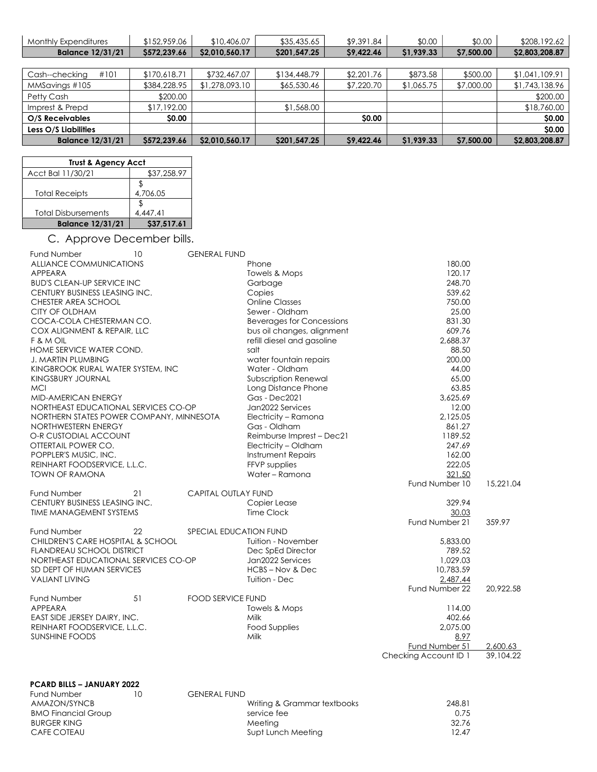| <b>Monthly Expenditures</b> | \$152,959.06 | \$10,406.07    | \$35,435.65  | \$9,391.84 | \$0.00     | \$0.00     | \$208,192.62   |
|-----------------------------|--------------|----------------|--------------|------------|------------|------------|----------------|
| <b>Balance 12/31/21</b>     | \$572,239.66 | \$2,010,560.17 | \$201,547.25 | \$9,422.46 | \$1,939.33 | \$7,500.00 | \$2,803,208.87 |
|                             |              |                |              |            |            |            |                |
| #101<br>Cash--checking      | \$170,618.71 | \$732,467.07   | \$134,448.79 | \$2,201.76 | \$873.58   | \$500.00   | \$1,041,109.91 |
| MMSavings #105              | \$384,228.95 | \$1,278,093.10 | \$65,530.46  | \$7,220.70 | \$1,065.75 | \$7,000.00 | \$1,743,138.96 |
| Petty Cash                  | \$200.00     |                |              |            |            |            | \$200.00       |
| Imprest & Prepd             | \$17,192.00  |                | \$1,568.00   |            |            |            | \$18,760.00    |
| O/S Receivables             | <b>SO.00</b> |                |              | \$0.00     |            |            | \$0.00         |
| Less O/S Liabilities        |              |                |              |            |            |            | \$0.00         |
| <b>Balance 12/31/21</b>     | \$572,239.66 | \$2,010,560.17 | \$201,547.25 | \$9,422.46 | \$1,939.33 | \$7,500.00 | \$2,803,208.87 |

| <b>Trust &amp; Agency Acct</b> |             |  |  |  |  |
|--------------------------------|-------------|--|--|--|--|
| Acct Bal 11/30/21              | \$37,258.97 |  |  |  |  |
|                                |             |  |  |  |  |
| <b>Total Receipts</b>          | 4,706.05    |  |  |  |  |
|                                |             |  |  |  |  |
| <b>Total Disbursements</b>     | 4.447.41    |  |  |  |  |
| <b>Balance 12/31/21</b>        | \$37,517.61 |  |  |  |  |

## C. Approve December bills.

| <b>Fund Number</b>                       | 10 | <b>GENERAL FUND</b>        |                                  |                       |           |
|------------------------------------------|----|----------------------------|----------------------------------|-----------------------|-----------|
| ALLIANCE COMMUNICATIONS                  |    |                            | Phone                            | 180.00                |           |
| APPEARA                                  |    |                            | Towels & Mops                    | 120.17                |           |
| <b>BUD'S CLEAN-UP SERVICE INC</b>        |    |                            | Garbage                          | 248.70                |           |
| CENTURY BUSINESS LEASING INC.            |    |                            | Copies                           | 539.62                |           |
| CHESTER AREA SCHOOL                      |    |                            | <b>Online Classes</b>            | 750.00                |           |
| <b>CITY OF OLDHAM</b>                    |    |                            | Sewer - Oldham                   | 25.00                 |           |
| COCA-COLA CHESTERMAN CO.                 |    |                            | <b>Beverages for Concessions</b> | 831.30                |           |
| COX ALIGNMENT & REPAIR, LLC              |    |                            | bus oil changes, alignment       | 609.76                |           |
| F & M OIL                                |    |                            | refill diesel and gasoline       | 2,688.37              |           |
| HOME SERVICE WATER COND.                 |    |                            | salt                             | 88.50                 |           |
| <b>J. MARTIN PLUMBING</b>                |    |                            | water fountain repairs           | 200.00                |           |
| KINGBROOK RURAL WATER SYSTEM, INC        |    |                            | Water - Oldham                   | 44.00                 |           |
| KINGSBURY JOURNAL                        |    |                            | Subscription Renewal             | 65.00                 |           |
| <b>MCI</b>                               |    |                            | Long Distance Phone              | 63.85                 |           |
| <b>MID-AMERICAN ENERGY</b>               |    |                            | <b>Gas - Dec2021</b>             | 3,625.69              |           |
| NORTHEAST EDUCATIONAL SERVICES CO-OP     |    |                            | Jan2022 Services                 | 12.00                 |           |
| NORTHERN STATES POWER COMPANY, MINNESOTA |    |                            | Electricity - Ramona             | 2,125.05              |           |
| NORTHWESTERN ENERGY                      |    |                            | Gas - Oldham                     | 861.27                |           |
| O-R CUSTODIAL ACCOUNT                    |    |                            | Reimburse Imprest - Dec21        | 1189.52               |           |
| OTTERTAIL POWER CO.                      |    |                            | Electricity - Oldham             | 247.69                |           |
| POPPLER'S MUSIC, INC.                    |    |                            | Instrument Repairs               | 162.00                |           |
| REINHART FOODSERVICE, L.L.C.             |    |                            | FFVP supplies                    | 222.05                |           |
| <b>TOWN OF RAMONA</b>                    |    |                            | Water - Ramona                   | 321.50                |           |
|                                          |    |                            |                                  | Fund Number 10        | 15,221.04 |
| Fund Number                              | 21 | <b>CAPITAL OUTLAY FUND</b> |                                  |                       |           |
| CENTURY BUSINESS LEASING INC.            |    |                            | Copier Lease                     | 329.94                |           |
| <b>TIME MANAGEMENT SYSTEMS</b>           |    |                            | <b>Time Clock</b>                | 30.03                 |           |
|                                          |    |                            |                                  | Fund Number 21        | 359.97    |
| <b>Fund Number</b>                       | 22 | SPECIAL EDUCATION FUND     |                                  |                       |           |
| CHILDREN'S CARE HOSPITAL & SCHOOL        |    |                            | Tuition - November               | 5,833.00              |           |
| <b>FLANDREAU SCHOOL DISTRICT</b>         |    |                            | Dec SpEd Director                | 789.52                |           |
| NORTHEAST EDUCATIONAL SERVICES CO-OP     |    |                            | Jan2022 Services                 | 1,029.03              |           |
| SD DEPT OF HUMAN SERVICES                |    |                            | HCBS-Nov & Dec                   | 10,783.59             |           |
| <b>VALIANT LIVING</b>                    |    |                            | Tuition - Dec                    | 2,487.44              |           |
|                                          |    |                            |                                  | Fund Number 22        | 20.922.58 |
| Fund Number                              | 51 | <b>FOOD SERVICE FUND</b>   |                                  |                       |           |
| APPEARA                                  |    |                            | Towels & Mops                    | 114.00                |           |
| EAST SIDE JERSEY DAIRY, INC.             |    |                            | Milk                             | 402.66                |           |
| REINHART FOODSERVICE, L.L.C.             |    |                            | <b>Food Supplies</b>             | 2,075.00              |           |
| <b>SUNSHINE FOODS</b>                    |    |                            | Milk                             | 8.97                  |           |
|                                          |    |                            |                                  | Fund Number 51        | 2,600.63  |
|                                          |    |                            |                                  | Checking Account ID 1 | 39,104.22 |
|                                          |    |                            |                                  |                       |           |
|                                          |    |                            |                                  |                       |           |

## PCARD BILLS – JANUARY 2022

| <b>Fund Number</b>         | 10 | <b>GENERAL FUND</b> |
|----------------------------|----|---------------------|
| AMAZON/SYNCB               |    |                     |
| <b>BMO Financial Group</b> |    |                     |
| BURGER KING                |    |                     |
| CAFE COTEAU                |    |                     |

| Writing & Grammar textbooks | 248.81                   |
|-----------------------------|--------------------------|
| service fee                 | 0.75                     |
| Meetina                     | 32.76                    |
| Supt Lunch Meeting          | 12.47                    |
| $\cup$                      | <b>ULIYLINAL I UIYLI</b> |